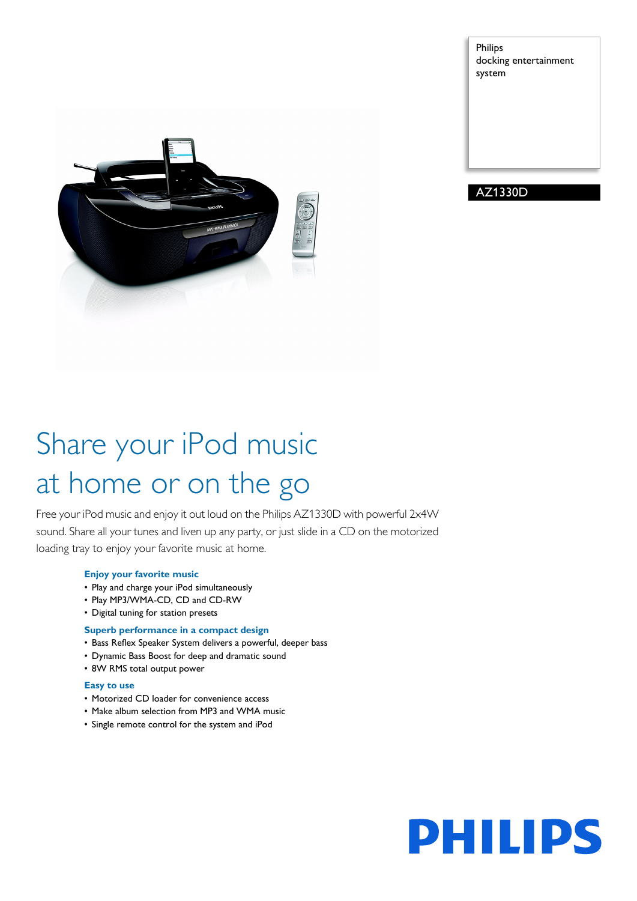Philips docking entertainment system



### AZ1330D

# Share your iPod music at home or on the go

Free your iPod music and enjoy it out loud on the Philips AZ1330D with powerful 2x4W sound. Share all your tunes and liven up any party, or just slide in a CD on the motorized loading tray to enjoy your favorite music at home.

### **Enjoy your favorite music**

- Play and charge your iPod simultaneously
- Play MP3/WMA-CD, CD and CD-RW
- Digital tuning for station presets

### **Superb performance in a compact design**

- Bass Reflex Speaker System delivers a powerful, deeper bass
- Dynamic Bass Boost for deep and dramatic sound
- 8W RMS total output power

### **Easy to use**

- Motorized CD loader for convenience access
- Make album selection from MP3 and WMA music
- Single remote control for the system and iPod